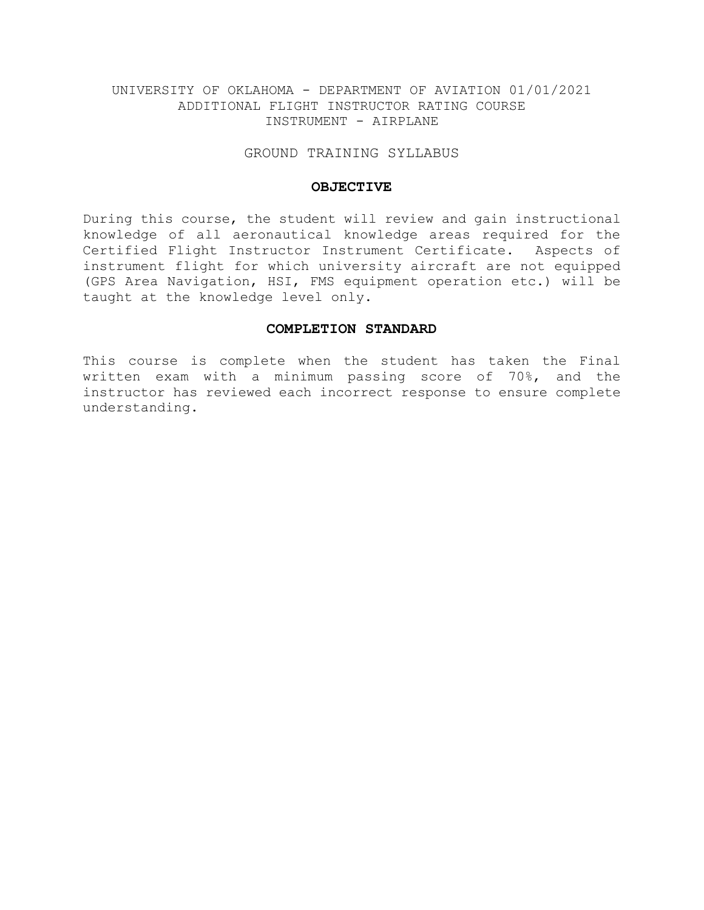### GROUND TRAINING SYLLABUS

### **OBJECTIVE**

During this course, the student will review and gain instructional knowledge of all aeronautical knowledge areas required for the Certified Flight Instructor Instrument Certificate. Aspects of instrument flight for which university aircraft are not equipped (GPS Area Navigation, HSI, FMS equipment operation etc.) will be taught at the knowledge level only.

# **COMPLETION STANDARD**

This course is complete when the student has taken the Final written exam with a minimum passing score of 70%, and the instructor has reviewed each incorrect response to ensure complete understanding.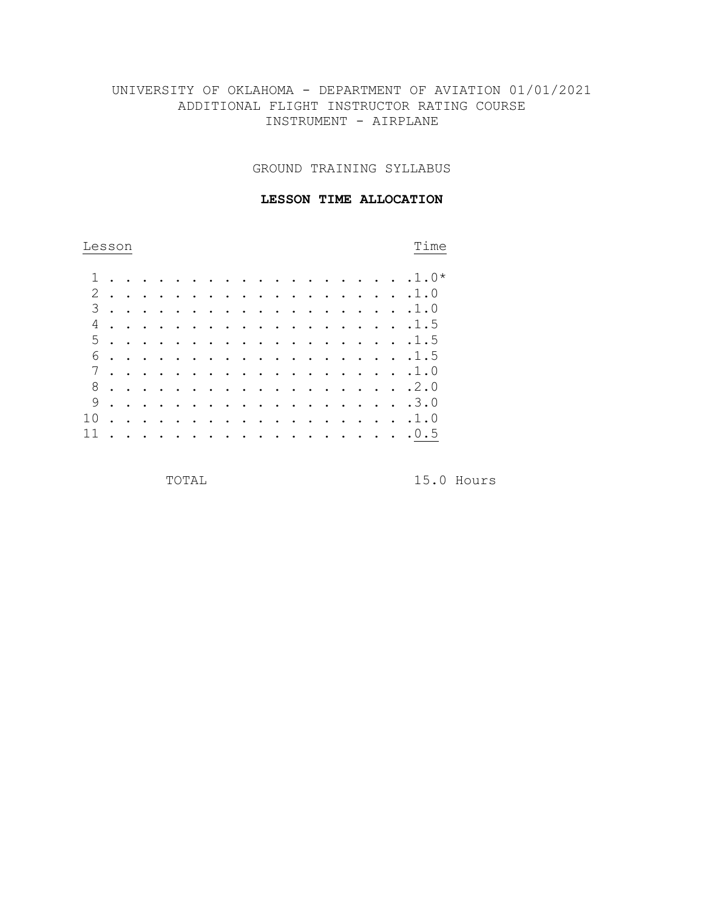GROUND TRAINING SYLLABUS

### **LESSON TIME ALLOCATION**

| Lesson | Time |
|--------|------|
|        |      |

| 1.    |                      |        |                             |           |          |        |        |  |  |  |  | . 1.0* |
|-------|----------------------|--------|-----------------------------|-----------|----------|--------|--------|--|--|--|--|--------|
|       |                      |        |                             |           |          |        |        |  |  |  |  |        |
| 2.    |                      |        |                             | $\sim$    |          | $\sim$ | $\sim$ |  |  |  |  | . 1.0  |
| $3$ . |                      |        |                             |           | $\cdots$ |        |        |  |  |  |  | . 1.0  |
|       |                      |        |                             |           |          |        |        |  |  |  |  |        |
| 5.    |                      | $\sim$ |                             |           |          |        |        |  |  |  |  | . 1.5  |
| 6.    |                      | $\sim$ |                             |           |          |        |        |  |  |  |  | . 1.5  |
| 7     |                      |        |                             |           |          |        |        |  |  |  |  | . 1.0  |
| 8.    |                      | $\sim$ |                             |           |          |        |        |  |  |  |  | . 2.0  |
| 9.    |                      |        |                             |           | $\cdots$ |        |        |  |  |  |  | . 3.0  |
| 10    | $\ddot{\phantom{a}}$ | $\sim$ | $\mathbf{r}$ . $\mathbf{r}$ | $\cdot$ . |          |        |        |  |  |  |  | . 1.0  |
| 11    | $\sim$               |        |                             |           |          |        |        |  |  |  |  | . 0.5  |
|       |                      |        |                             |           |          |        |        |  |  |  |  |        |

TOTAL 15.0 Hours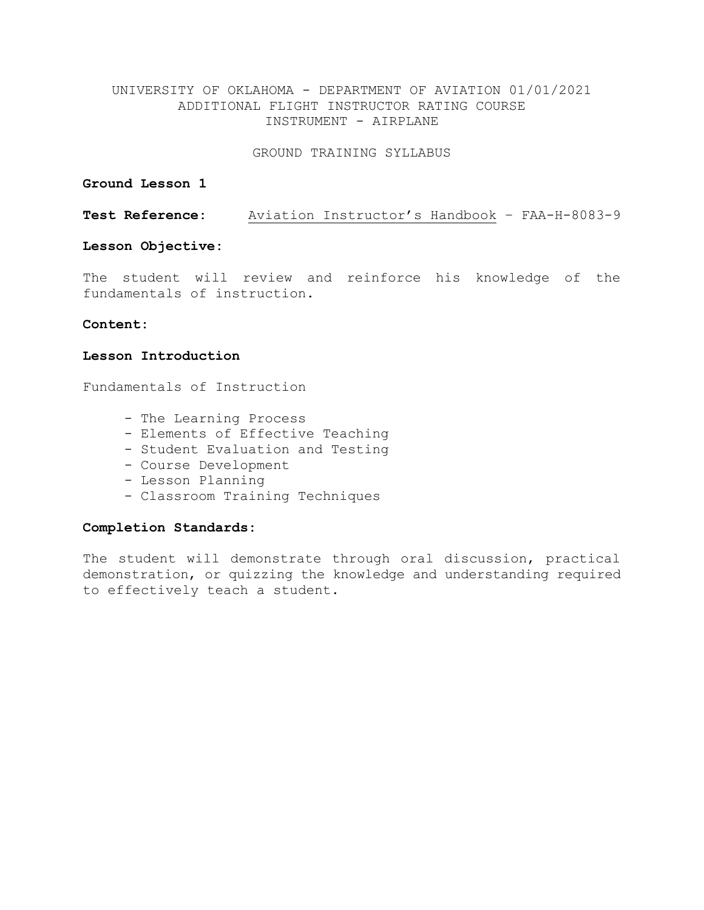GROUND TRAINING SYLLABUS

# **Ground Lesson 1**

**Test Reference:** Aviation Instructor's Handbook – FAA-H-8083-9

# **Lesson Objective:**

The student will review and reinforce his knowledge of the fundamentals of instruction.

# **Content:**

# **Lesson Introduction**

Fundamentals of Instruction

- The Learning Process
- Elements of Effective Teaching
- Student Evaluation and Testing
- Course Development
- Lesson Planning
- Classroom Training Techniques

### **Completion Standards:**

The student will demonstrate through oral discussion, practical demonstration, or quizzing the knowledge and understanding required to effectively teach a student.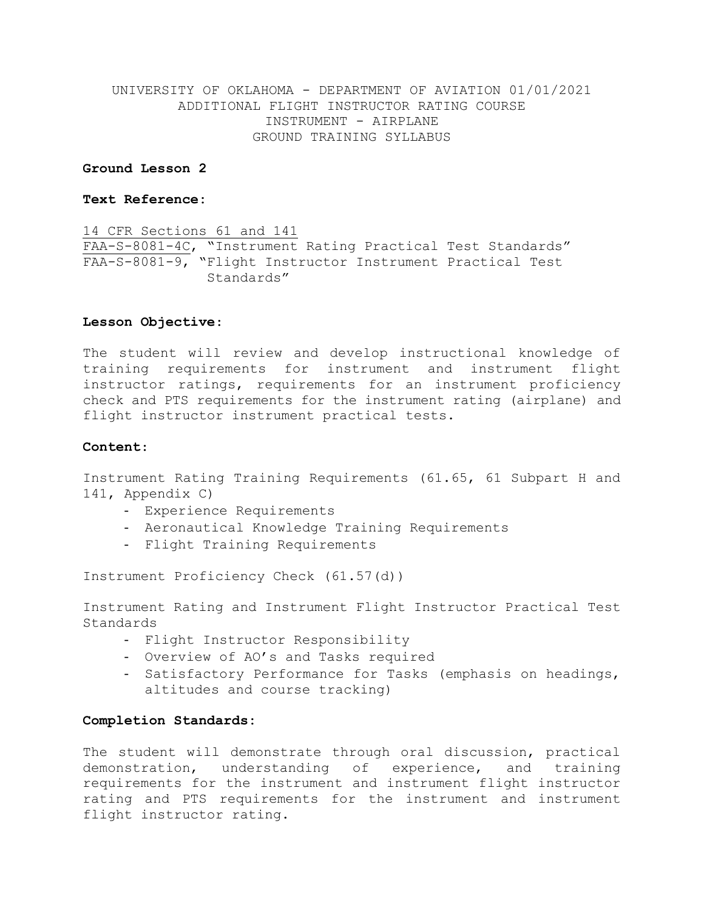### **Ground Lesson 2**

# **Text Reference:**

14 CFR Sections 61 and 141 FAA-S-8081-4C, "Instrument Rating Practical Test Standards" FAA-S-8081-9, "Flight Instructor Instrument Practical Test Standards"

### **Lesson Objective**:

The student will review and develop instructional knowledge of training requirements for instrument and instrument flight instructor ratings, requirements for an instrument proficiency check and PTS requirements for the instrument rating (airplane) and flight instructor instrument practical tests.

### **Content**:

Instrument Rating Training Requirements (61.65, 61 Subpart H and 141, Appendix C)

- Experience Requirements
- Aeronautical Knowledge Training Requirements
- Flight Training Requirements

Instrument Proficiency Check (61.57(d))

Instrument Rating and Instrument Flight Instructor Practical Test Standards

- Flight Instructor Responsibility
- Overview of AO's and Tasks required
- Satisfactory Performance for Tasks (emphasis on headings, altitudes and course tracking)

### **Completion Standards:**

The student will demonstrate through oral discussion, practical demonstration, understanding of experience, and training requirements for the instrument and instrument flight instructor rating and PTS requirements for the instrument and instrument flight instructor rating.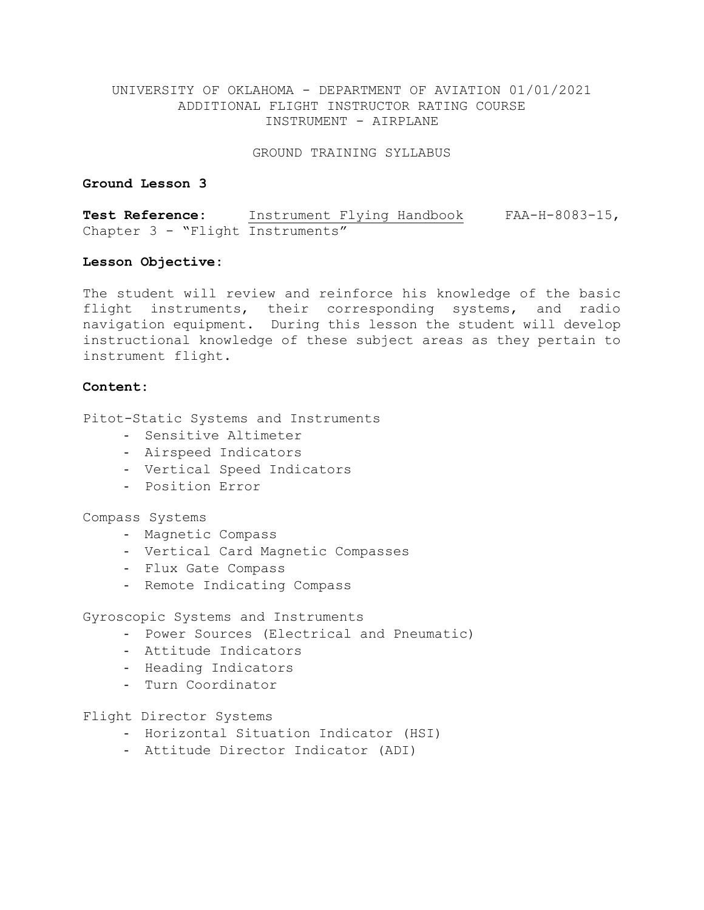GROUND TRAINING SYLLABUS

### **Ground Lesson 3**

**Test Reference:** Instrument Flying Handbook FAA-H-8083-15, Chapter 3 - "Flight Instruments"

### **Lesson Objective:**

The student will review and reinforce his knowledge of the basic flight instruments, their corresponding systems, and radio navigation equipment. During this lesson the student will develop instructional knowledge of these subject areas as they pertain to instrument flight.

# **Content:**

Pitot-Static Systems and Instruments

- Sensitive Altimeter
- Airspeed Indicators
- Vertical Speed Indicators
- Position Error

### Compass Systems

- Magnetic Compass
- Vertical Card Magnetic Compasses
- Flux Gate Compass
- Remote Indicating Compass

Gyroscopic Systems and Instruments

- Power Sources (Electrical and Pneumatic)
- Attitude Indicators
- Heading Indicators
- Turn Coordinator

Flight Director Systems

- Horizontal Situation Indicator (HSI)
- Attitude Director Indicator (ADI)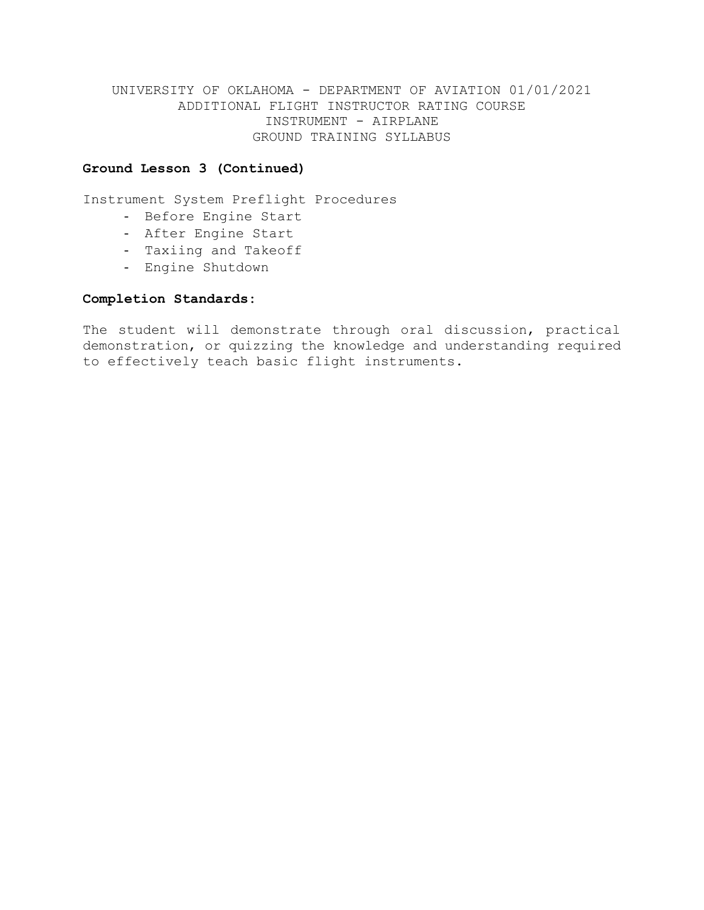### **Ground Lesson 3 (Continued)**

Instrument System Preflight Procedures

- Before Engine Start
- After Engine Start
- Taxiing and Takeoff
- Engine Shutdown

### **Completion Standards:**

The student will demonstrate through oral discussion, practical demonstration, or quizzing the knowledge and understanding required to effectively teach basic flight instruments.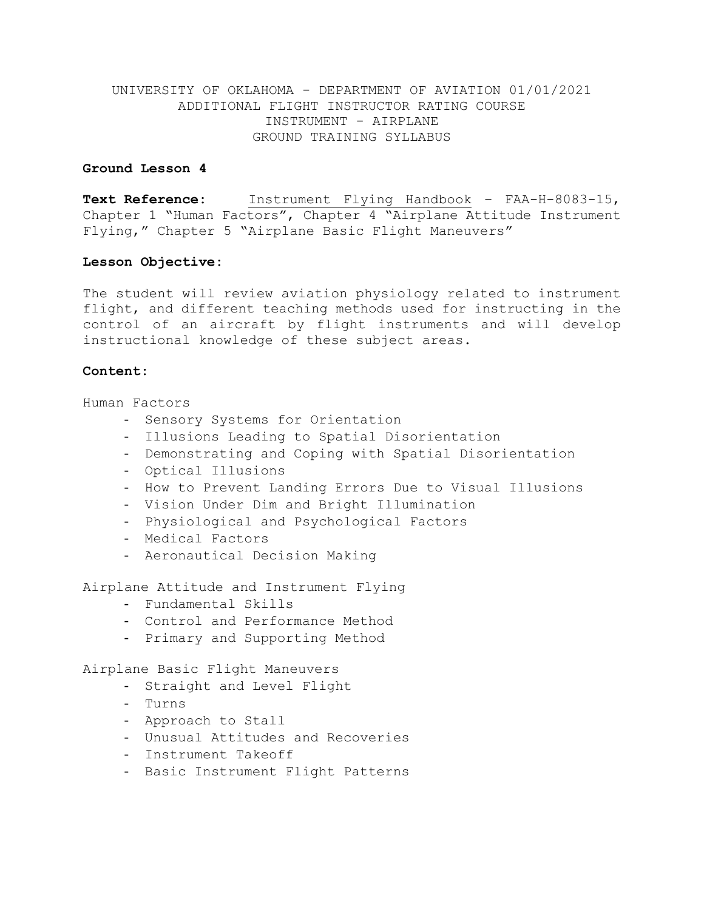### **Ground Lesson 4**

**Text Reference:** Instrument Flying Handbook – FAA-H-8083-15, Chapter 1 "Human Factors", Chapter 4 "Airplane Attitude Instrument Flying," Chapter 5 "Airplane Basic Flight Maneuvers"

### **Lesson Objective:**

The student will review aviation physiology related to instrument flight, and different teaching methods used for instructing in the control of an aircraft by flight instruments and will develop instructional knowledge of these subject areas.

### **Content:**

Human Factors

- Sensory Systems for Orientation
- Illusions Leading to Spatial Disorientation
- Demonstrating and Coping with Spatial Disorientation
- Optical Illusions
- How to Prevent Landing Errors Due to Visual Illusions
- Vision Under Dim and Bright Illumination
- Physiological and Psychological Factors
- Medical Factors
- Aeronautical Decision Making

Airplane Attitude and Instrument Flying

- Fundamental Skills
- Control and Performance Method
- Primary and Supporting Method

Airplane Basic Flight Maneuvers

- Straight and Level Flight
- Turns
- Approach to Stall
- Unusual Attitudes and Recoveries
- Instrument Takeoff
- Basic Instrument Flight Patterns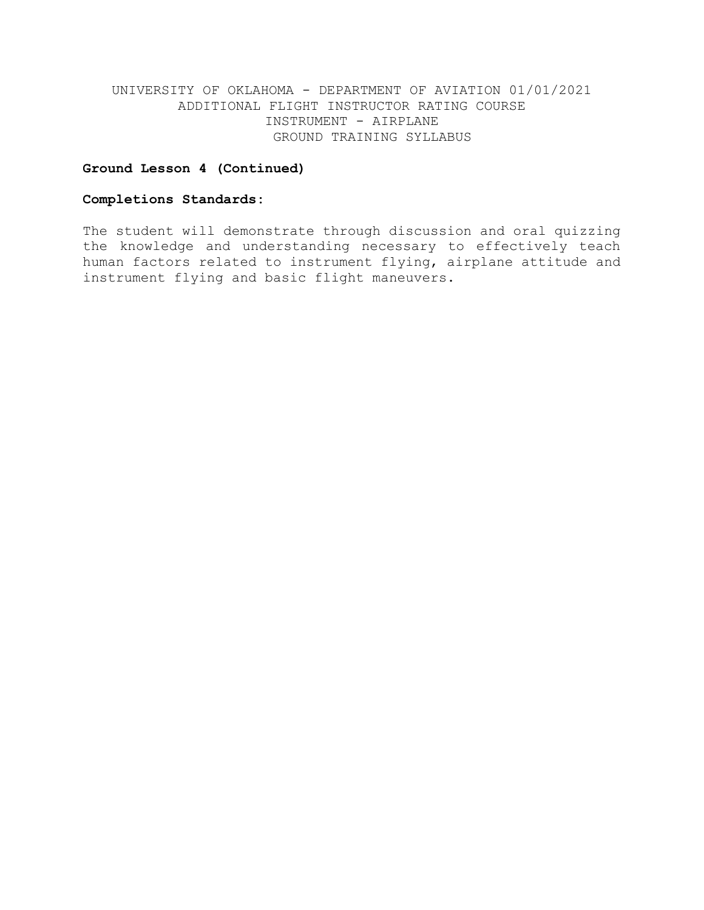### **Ground Lesson 4 (Continued)**

# **Completions Standards:**

The student will demonstrate through discussion and oral quizzing the knowledge and understanding necessary to effectively teach human factors related to instrument flying, airplane attitude and instrument flying and basic flight maneuvers.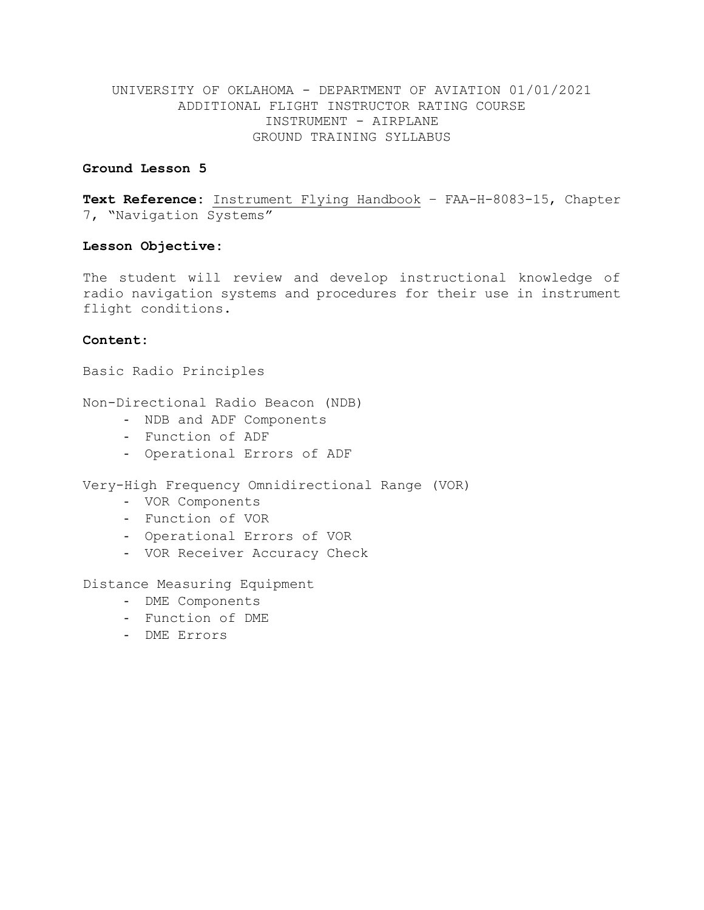### **Ground Lesson 5**

**Text Reference:** Instrument Flying Handbook – FAA-H-8083-15, Chapter 7, "Navigation Systems"

# **Lesson Objective:**

The student will review and develop instructional knowledge of radio navigation systems and procedures for their use in instrument flight conditions.

### **Content:**

Basic Radio Principles

Non-Directional Radio Beacon (NDB)

- NDB and ADF Components
- Function of ADF
- Operational Errors of ADF

Very-High Frequency Omnidirectional Range (VOR)

- VOR Components
- Function of VOR
- Operational Errors of VOR
- VOR Receiver Accuracy Check

Distance Measuring Equipment

- DME Components
- Function of DME
- DME Errors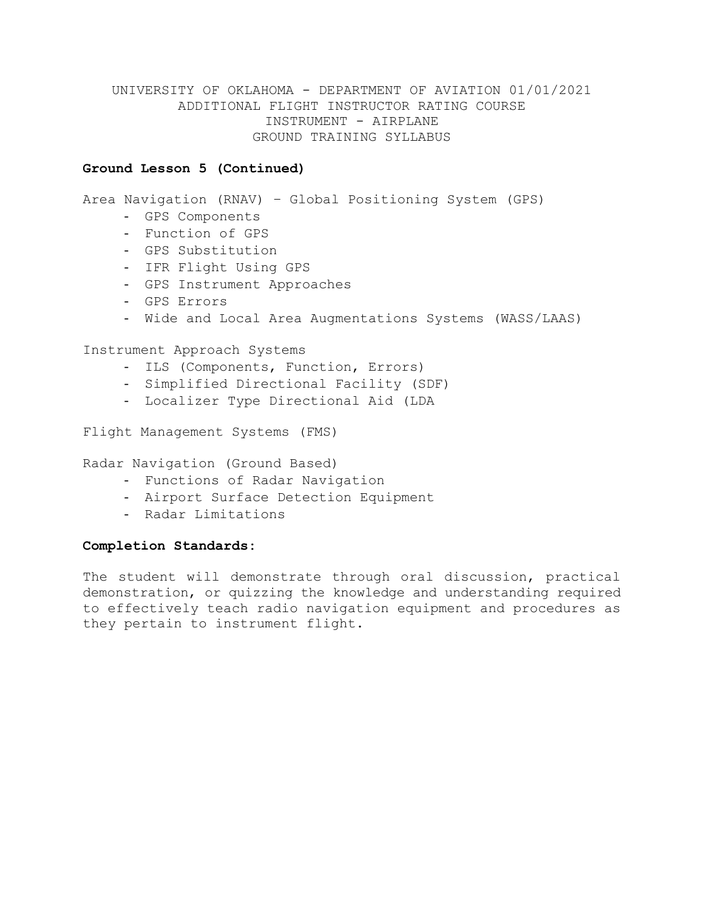### **Ground Lesson 5 (Continued)**

Area Navigation (RNAV) – Global Positioning System (GPS)

- GPS Components
- Function of GPS
- GPS Substitution
- IFR Flight Using GPS
- GPS Instrument Approaches
- GPS Errors
- Wide and Local Area Augmentations Systems (WASS/LAAS)

Instrument Approach Systems

- ILS (Components, Function, Errors)
- Simplified Directional Facility (SDF)
- Localizer Type Directional Aid (LDA

Flight Management Systems (FMS)

Radar Navigation (Ground Based)

- Functions of Radar Navigation
- Airport Surface Detection Equipment
- Radar Limitations

### **Completion Standards:**

The student will demonstrate through oral discussion, practical demonstration, or quizzing the knowledge and understanding required to effectively teach radio navigation equipment and procedures as they pertain to instrument flight.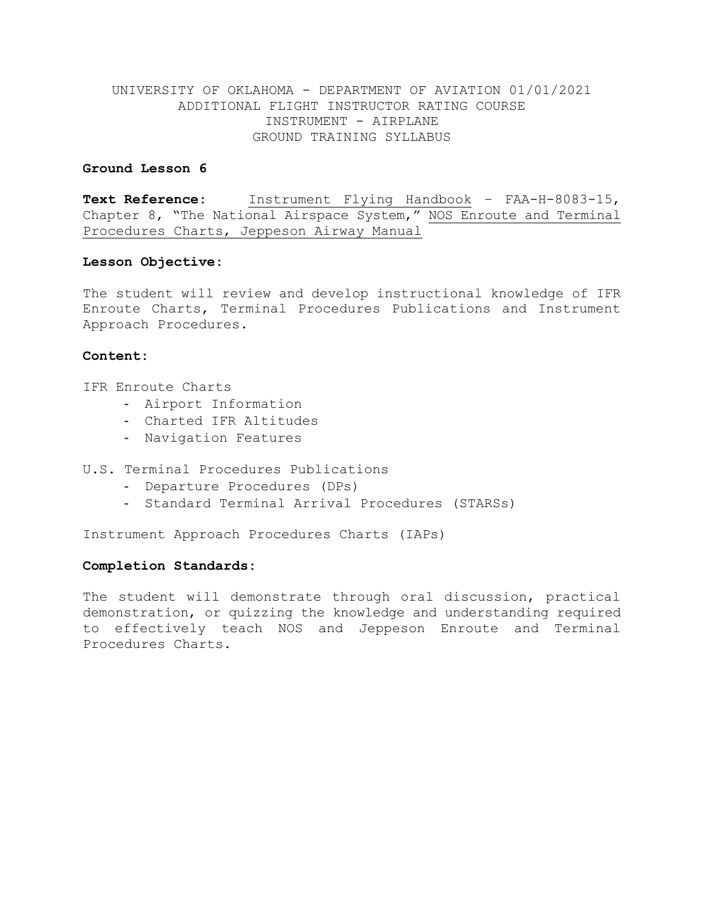### **Ground Lesson 6**

**Text Reference:** Instrument Flying Handbook – FAA-H-8083-15, Chapter 8, "The National Airspace System," NOS Enroute and Terminal Procedures Charts, Jeppeson Airway Manual

### **Lesson Objective:**

The student will review and develop instructional knowledge of IFR Enroute Charts, Terminal Procedures Publications and Instrument Approach Procedures.

# **Content:**

IFR Enroute Charts

- Airport Information
- Charted IFR Altitudes
- Navigation Features

# U.S. Terminal Procedures Publications

- Departure Procedures (DPs)
- Standard Terminal Arrival Procedures (STARSs)

Instrument Approach Procedures Charts (IAPs)

### **Completion Standards:**

The student will demonstrate through oral discussion, practical demonstration, or quizzing the knowledge and understanding required to effectively teach NOS and Jeppeson Enroute and Terminal Procedures Charts.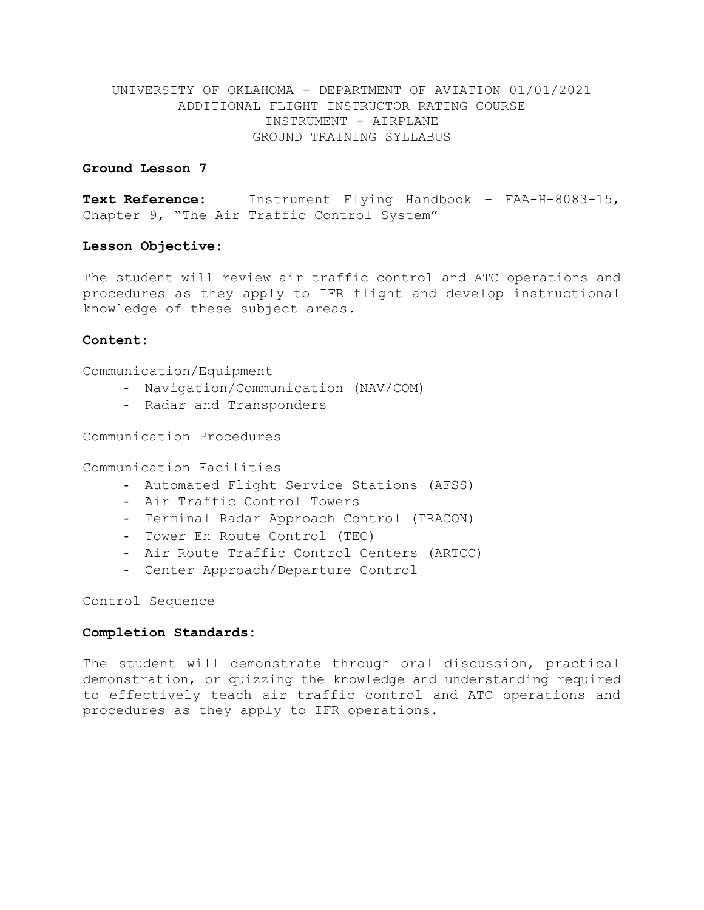### **Ground Lesson 7**

**Text Reference:** Instrument Flying Handbook – FAA-H-8083-15, Chapter 9, "The Air Traffic Control System"

### **Lesson Objective:**

The student will review air traffic control and ATC operations and procedures as they apply to IFR flight and develop instructional knowledge of these subject areas.

### **Content:**

Communication/Equipment

- Navigation/Communication (NAV/COM)
- Radar and Transponders

Communication Procedures

Communication Facilities

- Automated Flight Service Stations (AFSS)
- Air Traffic Control Towers
- Terminal Radar Approach Control (TRACON)
- Tower En Route Control (TEC)
- Air Route Traffic Control Centers (ARTCC)
- Center Approach/Departure Control

Control Sequence

### **Completion Standards:**

The student will demonstrate through oral discussion, practical demonstration, or quizzing the knowledge and understanding required to effectively teach air traffic control and ATC operations and procedures as they apply to IFR operations.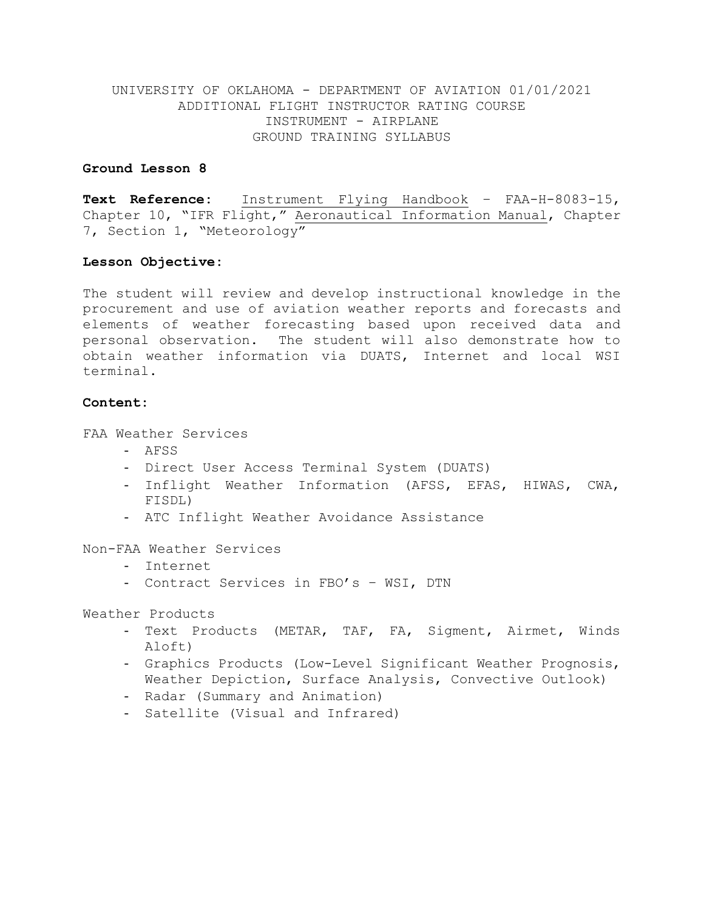### **Ground Lesson 8**

**Text Reference:** Instrument Flying Handbook – FAA-H-8083-15, Chapter 10, "IFR Flight," Aeronautical Information Manual, Chapter 7, Section 1, "Meteorology"

### **Lesson Objective:**

The student will review and develop instructional knowledge in the procurement and use of aviation weather reports and forecasts and elements of weather forecasting based upon received data and personal observation. The student will also demonstrate how to obtain weather information via DUATS, Internet and local WSI terminal.

### **Content:**

FAA Weather Services

- AFSS
- Direct User Access Terminal System (DUATS)
- Inflight Weather Information (AFSS, EFAS, HIWAS, CWA, FISDL)
- ATC Inflight Weather Avoidance Assistance

Non-FAA Weather Services

- Internet
- Contract Services in FBO's WSI, DTN

Weather Products

- Text Products (METAR, TAF, FA, Sigment, Airmet, Winds Aloft)
- Graphics Products (Low-Level Significant Weather Prognosis, Weather Depiction, Surface Analysis, Convective Outlook)
- Radar (Summary and Animation)
- Satellite (Visual and Infrared)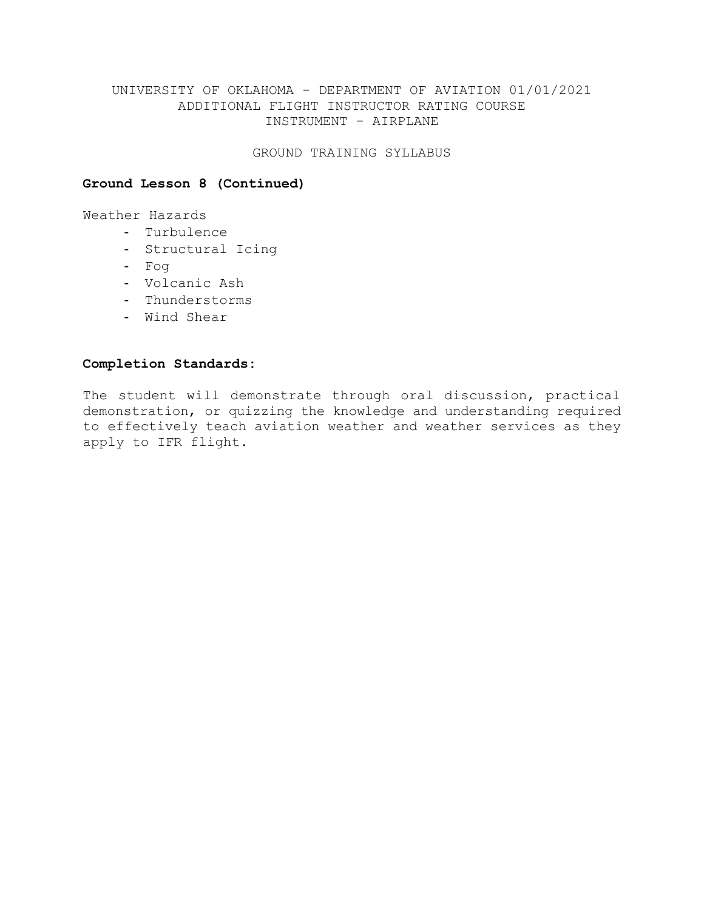### GROUND TRAINING SYLLABUS

# **Ground Lesson 8 (Continued)**

Weather Hazards

- Turbulence
- Structural Icing
- Fog
- Volcanic Ash
- Thunderstorms
- Wind Shear

# **Completion Standards:**

The student will demonstrate through oral discussion, practical demonstration, or quizzing the knowledge and understanding required to effectively teach aviation weather and weather services as they apply to IFR flight.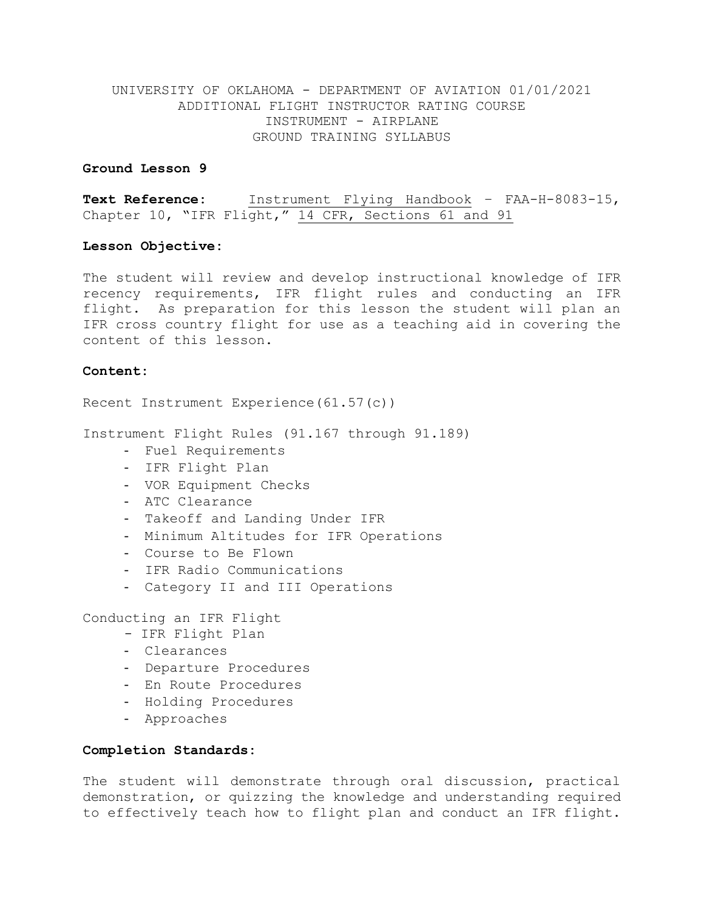#### **Ground Lesson 9**

**Text Reference:** Instrument Flying Handbook – FAA-H-8083-15, Chapter 10, "IFR Flight," 14 CFR, Sections 61 and 91

### **Lesson Objective:**

The student will review and develop instructional knowledge of IFR recency requirements, IFR flight rules and conducting an IFR flight. As preparation for this lesson the student will plan an IFR cross country flight for use as a teaching aid in covering the content of this lesson.

### **Content:**

Recent Instrument Experience(61.57(c))

Instrument Flight Rules (91.167 through 91.189)

- Fuel Requirements
- IFR Flight Plan
- VOR Equipment Checks
- ATC Clearance
- Takeoff and Landing Under IFR
- Minimum Altitudes for IFR Operations
- Course to Be Flown
- IFR Radio Communications
- Category II and III Operations

Conducting an IFR Flight

- IFR Flight Plan
- Clearances
- Departure Procedures
- En Route Procedures
- Holding Procedures
- Approaches

### **Completion Standards:**

The student will demonstrate through oral discussion, practical demonstration, or quizzing the knowledge and understanding required to effectively teach how to flight plan and conduct an IFR flight.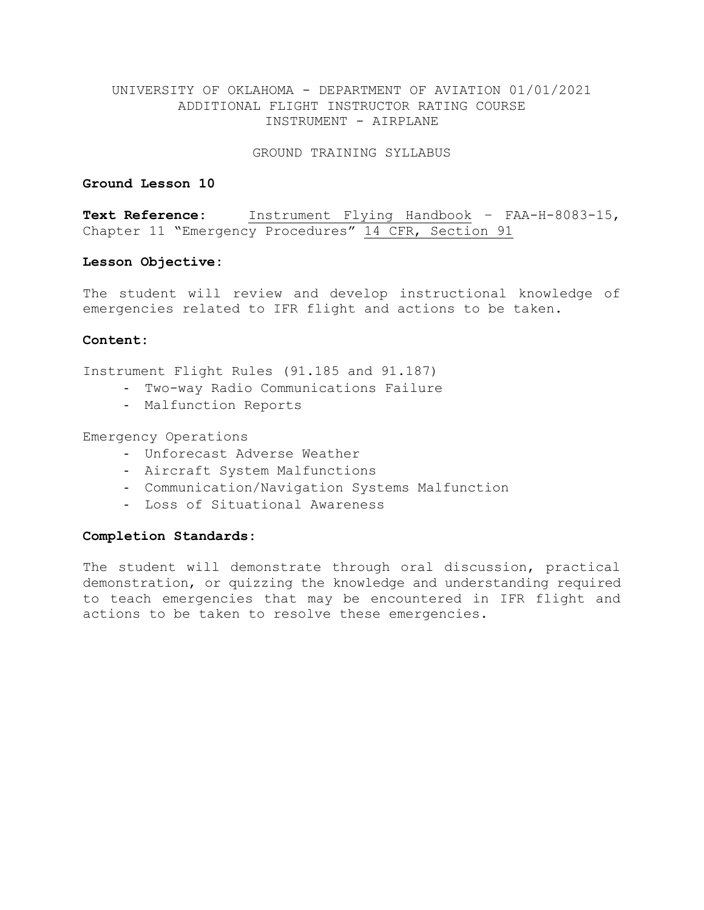GROUND TRAINING SYLLABUS

# **Ground Lesson 10**

**Text Reference:** Instrument Flying Handbook – FAA-H-8083-15, Chapter 11 "Emergency Procedures" 14 CFR, Section 91

### **Lesson Objective:**

The student will review and develop instructional knowledge of emergencies related to IFR flight and actions to be taken.

### **Content:**

Instrument Flight Rules (91.185 and 91.187)

- Two-way Radio Communications Failure
- Malfunction Reports

Emergency Operations

- Unforecast Adverse Weather
- Aircraft System Malfunctions
- Communication/Navigation Systems Malfunction
- Loss of Situational Awareness

### **Completion Standards:**

The student will demonstrate through oral discussion, practical demonstration, or quizzing the knowledge and understanding required to teach emergencies that may be encountered in IFR flight and actions to be taken to resolve these emergencies.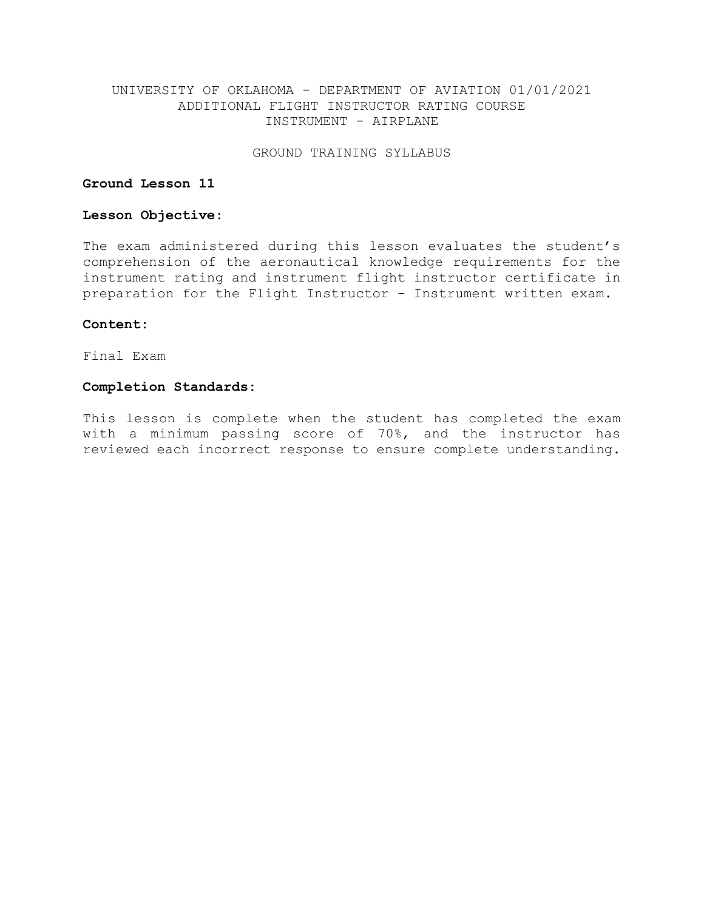GROUND TRAINING SYLLABUS

# **Ground Lesson 11**

### **Lesson Objective:**

The exam administered during this lesson evaluates the student's comprehension of the aeronautical knowledge requirements for the instrument rating and instrument flight instructor certificate in preparation for the Flight Instructor - Instrument written exam.

### **Content:**

Final Exam

# **Completion Standards:**

This lesson is complete when the student has completed the exam with a minimum passing score of 70%, and the instructor has reviewed each incorrect response to ensure complete understanding.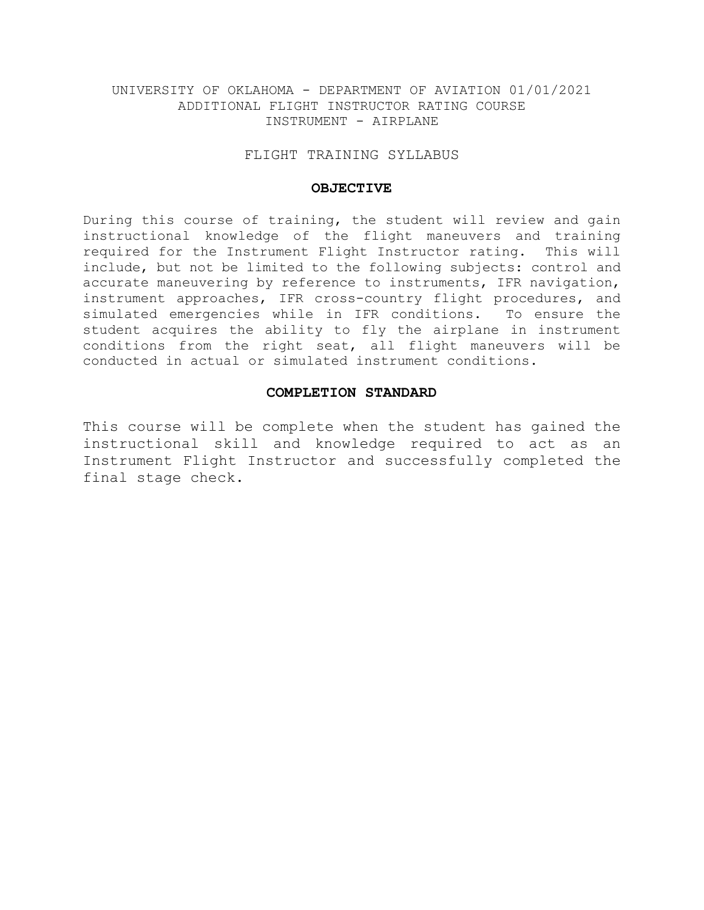### FLIGHT TRAINING SYLLABUS

#### **OBJECTIVE**

During this course of training, the student will review and gain instructional knowledge of the flight maneuvers and training required for the Instrument Flight Instructor rating. This will include, but not be limited to the following subjects: control and accurate maneuvering by reference to instruments, IFR navigation, instrument approaches, IFR cross-country flight procedures, and simulated emergencies while in IFR conditions. To ensure the student acquires the ability to fly the airplane in instrument conditions from the right seat, all flight maneuvers will be conducted in actual or simulated instrument conditions.

# **COMPLETION STANDARD**

This course will be complete when the student has gained the instructional skill and knowledge required to act as an Instrument Flight Instructor and successfully completed the final stage check.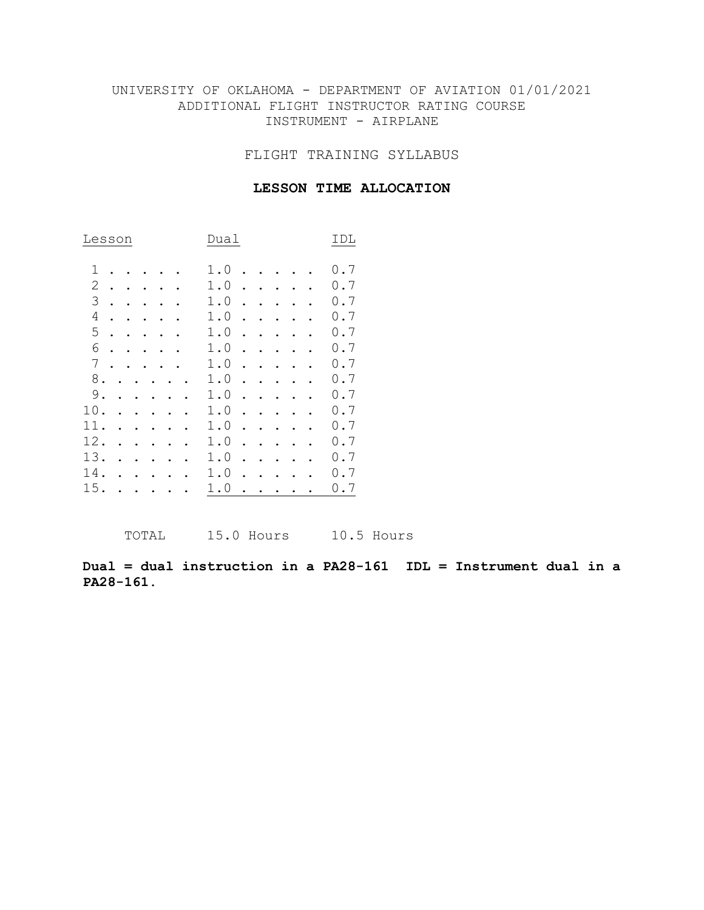FLIGHT TRAINING SYLLABUS

## **LESSON TIME ALLOCATION**

| Lesson         |           |   |  |  |  |  |  |   | Dual                      | IDL            |                      |           |  |           |                |
|----------------|-----------|---|--|--|--|--|--|---|---------------------------|----------------|----------------------|-----------|--|-----------|----------------|
| 1              |           |   |  |  |  |  |  | 1 | $\overline{a}$            | $\circ$        |                      |           |  |           | $\cdot$ 7<br>0 |
| 2              |           |   |  |  |  |  |  |   | 1<br>$\ddot{\phantom{a}}$ | 0              |                      |           |  |           | 0<br>$\cdot$ 7 |
| 3              |           |   |  |  |  |  |  |   |                           | 1.0            | $\bullet$            |           |  | $\bullet$ | $\cdot$ 7<br>0 |
| $\overline{4}$ | $\bullet$ |   |  |  |  |  |  |   |                           | 1.0            | $\bullet$            |           |  |           | 0.7            |
| 5              |           | ٠ |  |  |  |  |  |   |                           | 1.0            | ٠                    |           |  |           | $\cdot$ 7<br>0 |
| 6              |           |   |  |  |  |  |  |   |                           | 1.0            |                      |           |  |           | 0.7            |
| 7              |           |   |  |  |  |  |  |   | 1<br>$\ddot{\phantom{a}}$ | $\overline{0}$ |                      |           |  |           | $\cdot$ 7<br>0 |
| $8$ .          |           |   |  |  |  |  |  |   |                           | 1.0            |                      |           |  |           | $\cdot$ 7<br>0 |
| 9.             |           |   |  |  |  |  |  |   |                           | 1.0            | $\ddot{\phantom{0}}$ | $\bullet$ |  |           | 0.7            |
| 10.            |           |   |  |  |  |  |  |   | 1<br>$\ddot{\phantom{a}}$ | 0              |                      |           |  |           | 0.7            |
| 11.            |           |   |  |  |  |  |  |   | 1.                        | 0              |                      |           |  |           | 0.7            |
| 12.            |           |   |  |  |  |  |  |   |                           | 1.0            |                      |           |  |           | $\cdot$ 7<br>0 |
| 13.            |           |   |  |  |  |  |  |   | 1                         | $\cdot$ 0      |                      |           |  |           | $\cdot$ 7<br>0 |
| 14.            |           |   |  |  |  |  |  |   |                           | 1.0            |                      |           |  |           | $\cdot$ 7<br>0 |
| 15.            |           |   |  |  |  |  |  |   | 1                         | $\cdot$ 0      |                      |           |  |           | $\cdot$ 7<br>0 |

TOTAL 15.0 Hours 10.5 Hours

**Dual = dual instruction in a PA28-161 IDL = Instrument dual in a PA28-161.**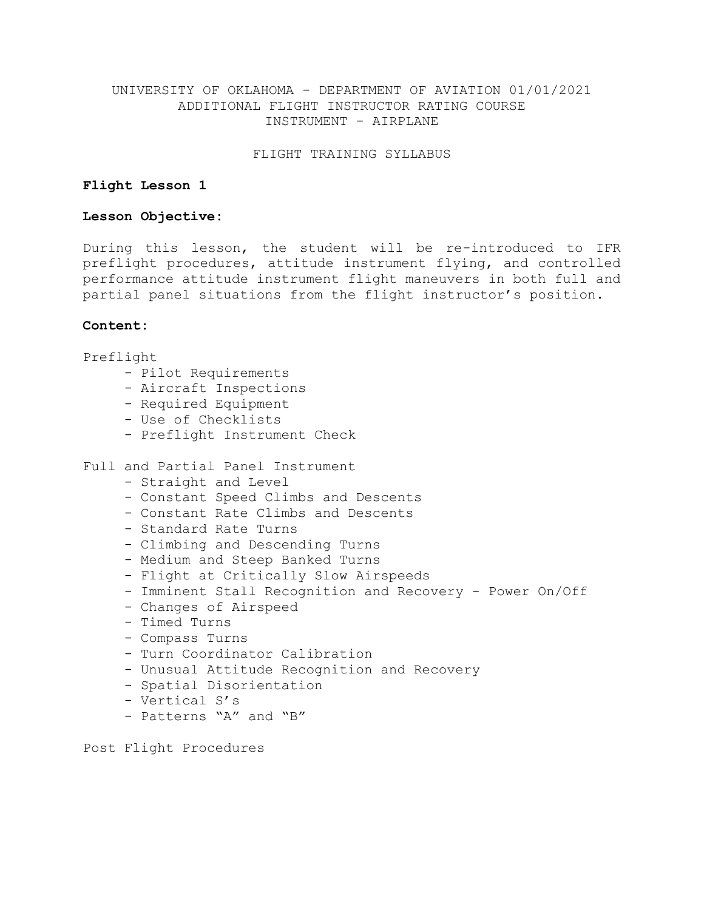FLIGHT TRAINING SYLLABUS

### **Flight Lesson 1**

### **Lesson Objective:**

During this lesson, the student will be re-introduced to IFR preflight procedures, attitude instrument flying, and controlled performance attitude instrument flight maneuvers in both full and partial panel situations from the flight instructor's position.

### **Content:**

Preflight

- Pilot Requirements
- Aircraft Inspections
- Required Equipment
- Use of Checklists
- Preflight Instrument Check

# Full and Partial Panel Instrument

- Straight and Level
- Constant Speed Climbs and Descents
- Constant Rate Climbs and Descents
- Standard Rate Turns
- Climbing and Descending Turns
- Medium and Steep Banked Turns
- Flight at Critically Slow Airspeeds
- Imminent Stall Recognition and Recovery Power On/Off
- Changes of Airspeed
- Timed Turns
- Compass Turns
- Turn Coordinator Calibration
- Unusual Attitude Recognition and Recovery
- Spatial Disorientation
- Vertical S's
- Patterns "A" and "B"

Post Flight Procedures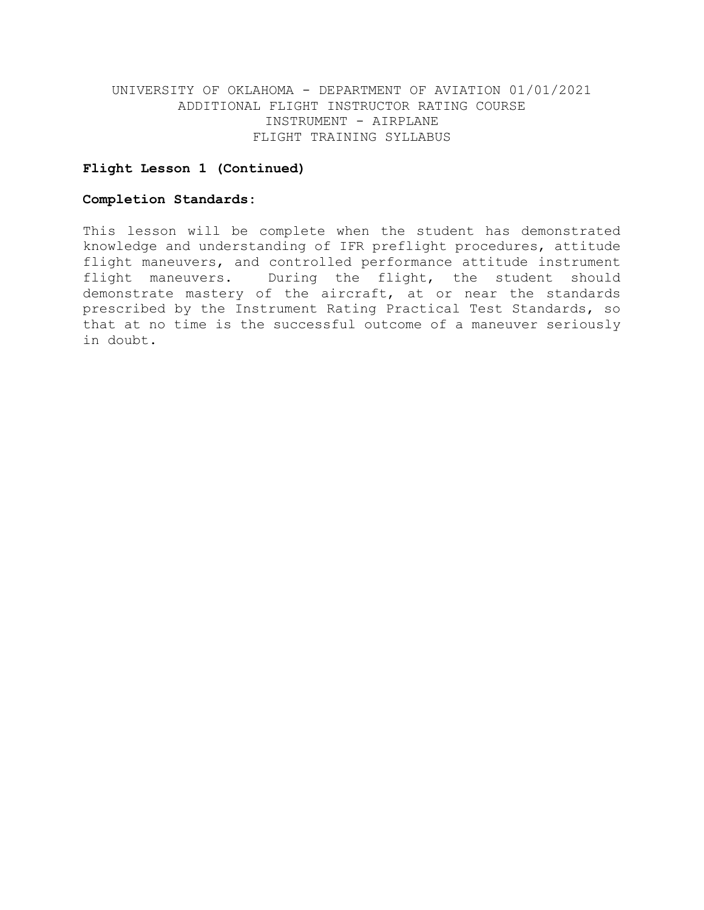# **Flight Lesson 1 (Continued)**

### **Completion Standards:**

This lesson will be complete when the student has demonstrated knowledge and understanding of IFR preflight procedures, attitude flight maneuvers, and controlled performance attitude instrument flight maneuvers. During the flight, the student should demonstrate mastery of the aircraft, at or near the standards prescribed by the Instrument Rating Practical Test Standards, so that at no time is the successful outcome of a maneuver seriously in doubt.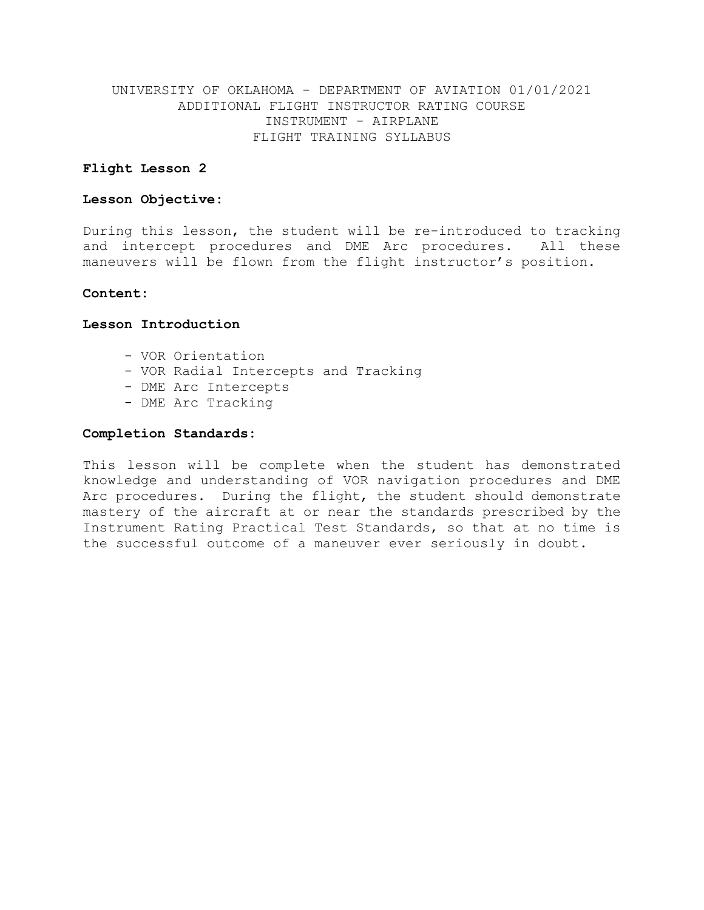### **Flight Lesson 2**

### **Lesson Objective:**

During this lesson, the student will be re-introduced to tracking and intercept procedures and DME Arc procedures. All these maneuvers will be flown from the flight instructor's position.

### **Content:**

#### **Lesson Introduction**

- VOR Orientation
- VOR Radial Intercepts and Tracking
- DME Arc Intercepts
- DME Arc Tracking

#### **Completion Standards:**

This lesson will be complete when the student has demonstrated knowledge and understanding of VOR navigation procedures and DME Arc procedures. During the flight, the student should demonstrate mastery of the aircraft at or near the standards prescribed by the Instrument Rating Practical Test Standards, so that at no time is the successful outcome of a maneuver ever seriously in doubt.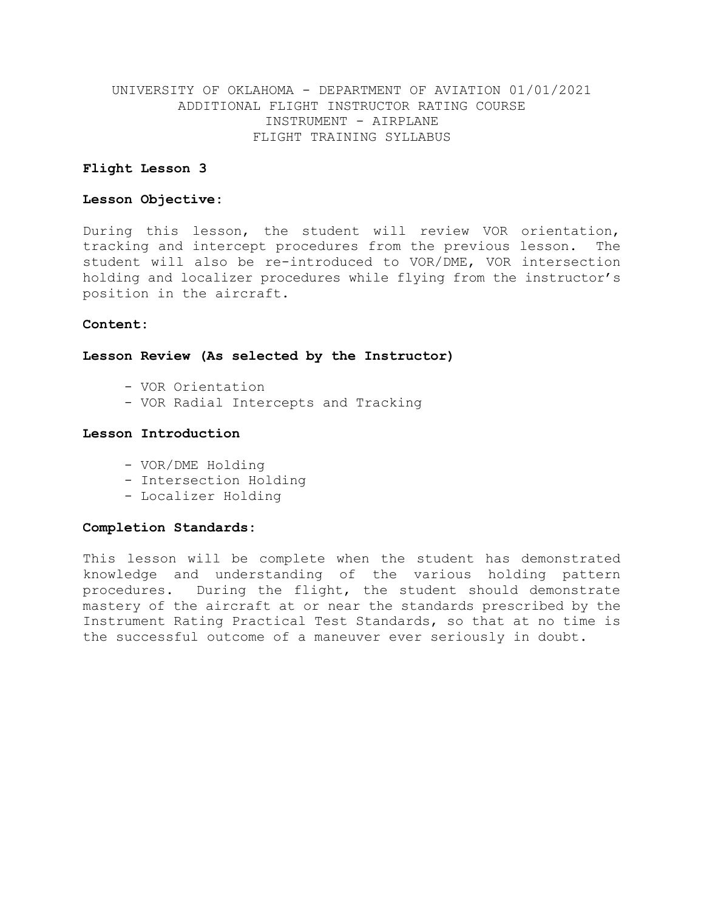### **Flight Lesson 3**

### **Lesson Objective:**

During this lesson, the student will review VOR orientation, tracking and intercept procedures from the previous lesson. The student will also be re-introduced to VOR/DME, VOR intersection holding and localizer procedures while flying from the instructor's position in the aircraft.

### **Content:**

# **Lesson Review (As selected by the Instructor)**

- VOR Orientation
- VOR Radial Intercepts and Tracking

### **Lesson Introduction**

- VOR/DME Holding
- Intersection Holding
- Localizer Holding

#### **Completion Standards:**

This lesson will be complete when the student has demonstrated knowledge and understanding of the various holding pattern procedures. During the flight, the student should demonstrate mastery of the aircraft at or near the standards prescribed by the Instrument Rating Practical Test Standards, so that at no time is the successful outcome of a maneuver ever seriously in doubt.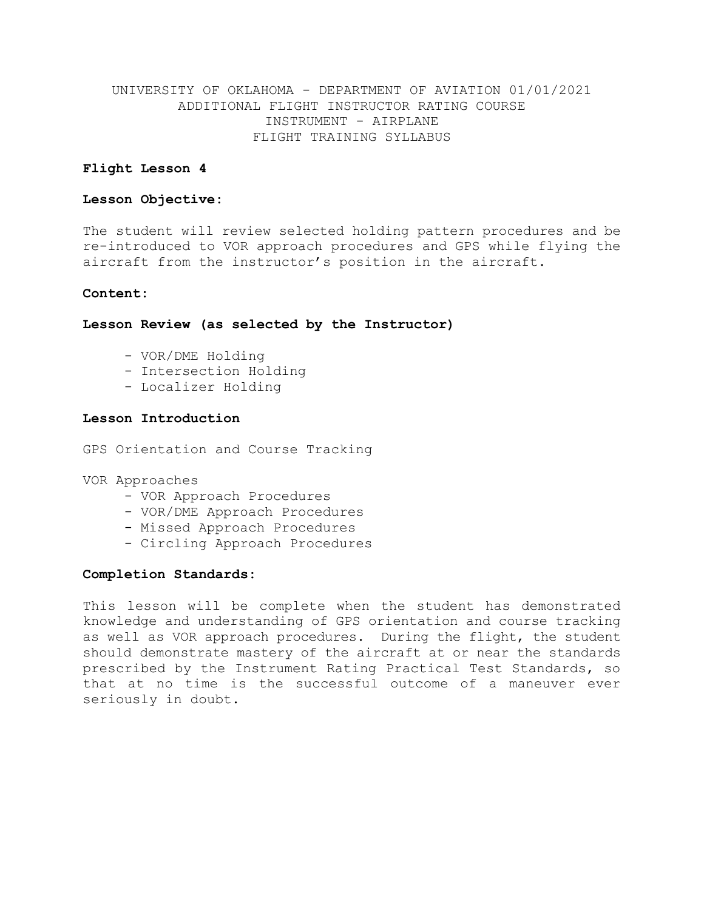# **Flight Lesson 4**

### **Lesson Objective:**

The student will review selected holding pattern procedures and be re-introduced to VOR approach procedures and GPS while flying the aircraft from the instructor's position in the aircraft.

### **Content:**

**Lesson Review (as selected by the Instructor)**

- VOR/DME Holding
- Intersection Holding
- Localizer Holding

# **Lesson Introduction**

GPS Orientation and Course Tracking

VOR Approaches

- VOR Approach Procedures
- VOR/DME Approach Procedures
- Missed Approach Procedures
- Circling Approach Procedures

### **Completion Standards:**

This lesson will be complete when the student has demonstrated knowledge and understanding of GPS orientation and course tracking as well as VOR approach procedures. During the flight, the student should demonstrate mastery of the aircraft at or near the standards prescribed by the Instrument Rating Practical Test Standards, so that at no time is the successful outcome of a maneuver ever seriously in doubt.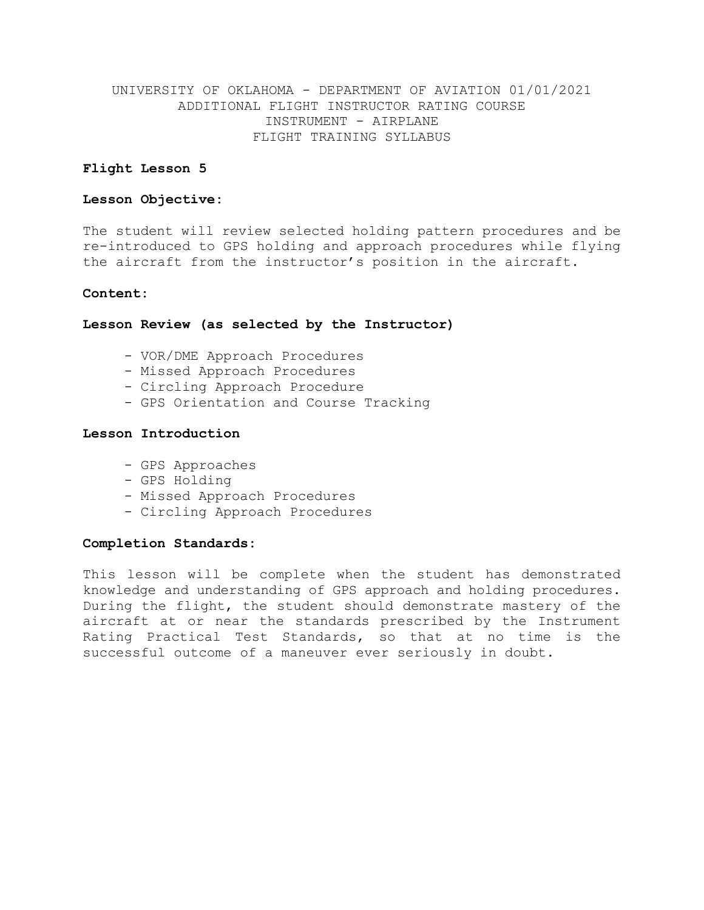# **Flight Lesson 5**

# **Lesson Objective:**

The student will review selected holding pattern procedures and be re-introduced to GPS holding and approach procedures while flying the aircraft from the instructor's position in the aircraft.

### **Content:**

# **Lesson Review (as selected by the Instructor)**

- VOR/DME Approach Procedures
- Missed Approach Procedures
- Circling Approach Procedure
- GPS Orientation and Course Tracking

### **Lesson Introduction**

- GPS Approaches
- GPS Holding
- Missed Approach Procedures
- Circling Approach Procedures

### **Completion Standards:**

This lesson will be complete when the student has demonstrated knowledge and understanding of GPS approach and holding procedures. During the flight, the student should demonstrate mastery of the aircraft at or near the standards prescribed by the Instrument Rating Practical Test Standards, so that at no time is the successful outcome of a maneuver ever seriously in doubt.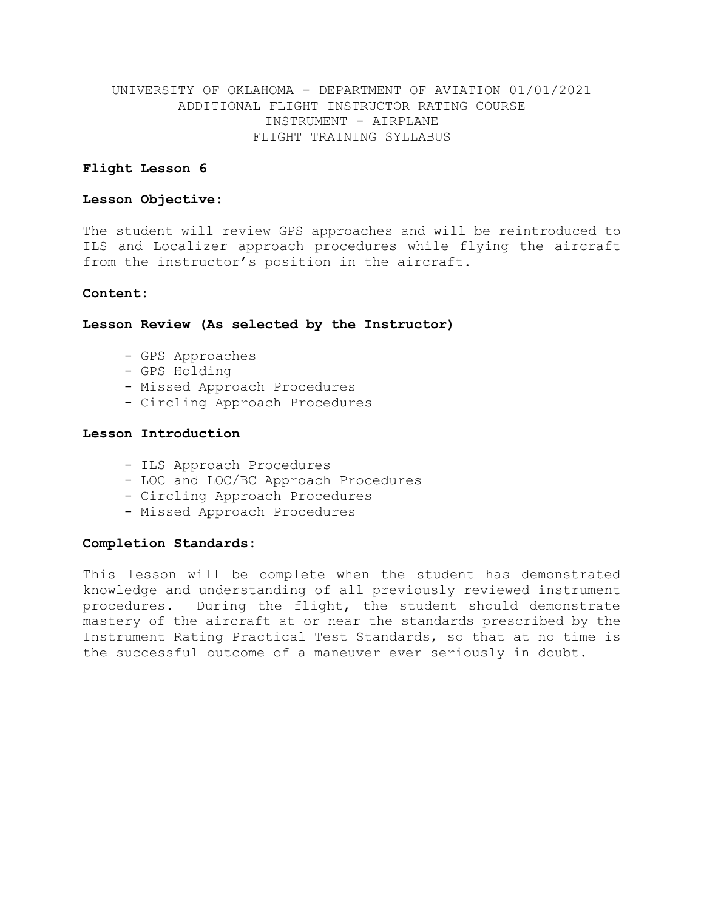# **Flight Lesson 6**

### **Lesson Objective:**

The student will review GPS approaches and will be reintroduced to ILS and Localizer approach procedures while flying the aircraft from the instructor's position in the aircraft.

### **Content:**

### **Lesson Review (As selected by the Instructor)**

- GPS Approaches
- GPS Holding
- Missed Approach Procedures
- Circling Approach Procedures

#### **Lesson Introduction**

- ILS Approach Procedures
- LOC and LOC/BC Approach Procedures
- Circling Approach Procedures
- Missed Approach Procedures

### **Completion Standards:**

This lesson will be complete when the student has demonstrated knowledge and understanding of all previously reviewed instrument procedures. During the flight, the student should demonstrate mastery of the aircraft at or near the standards prescribed by the Instrument Rating Practical Test Standards, so that at no time is the successful outcome of a maneuver ever seriously in doubt.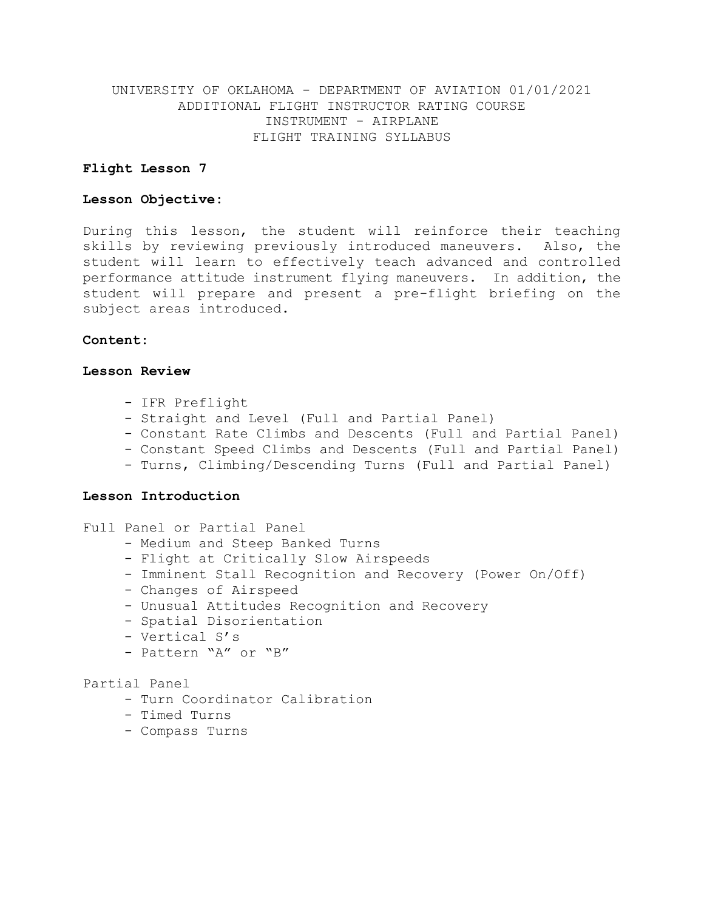### **Flight Lesson 7**

### **Lesson Objective:**

During this lesson, the student will reinforce their teaching skills by reviewing previously introduced maneuvers. Also, the student will learn to effectively teach advanced and controlled performance attitude instrument flying maneuvers. In addition, the student will prepare and present a pre-flight briefing on the subject areas introduced.

### **Content:**

### **Lesson Review**

- IFR Preflight
- Straight and Level (Full and Partial Panel)
- Constant Rate Climbs and Descents (Full and Partial Panel)
- Constant Speed Climbs and Descents (Full and Partial Panel)
- Turns, Climbing/Descending Turns (Full and Partial Panel)

#### **Lesson Introduction**

- Full Panel or Partial Panel
	- Medium and Steep Banked Turns
	- Flight at Critically Slow Airspeeds
	- Imminent Stall Recognition and Recovery (Power On/Off)
	- Changes of Airspeed
	- Unusual Attitudes Recognition and Recovery
	- Spatial Disorientation
	- Vertical S's
	- Pattern "A" or "B"

# Partial Panel

- Turn Coordinator Calibration
- Timed Turns
- Compass Turns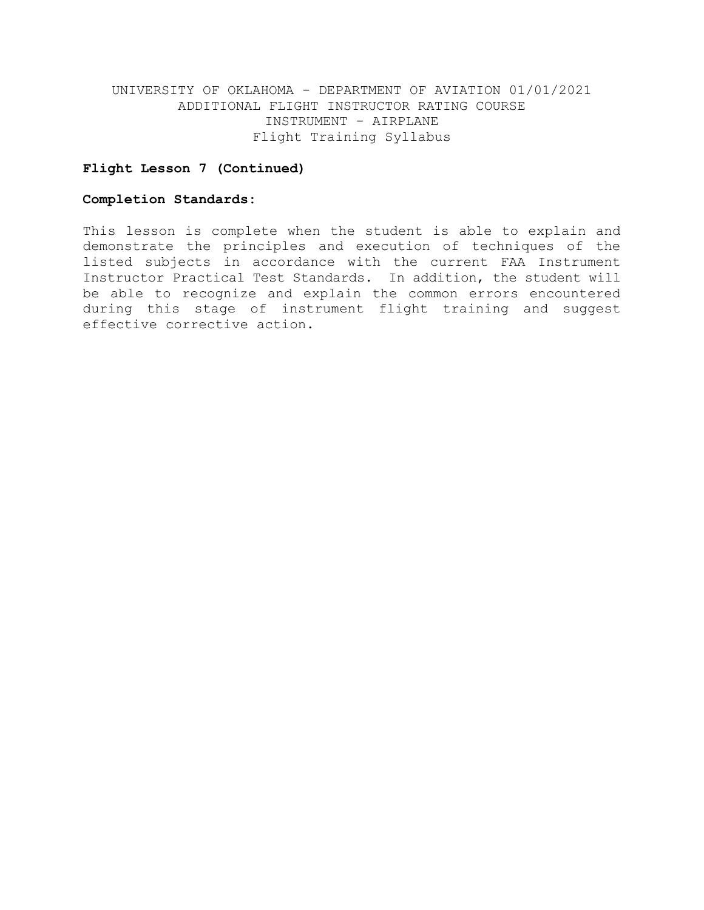# **Flight Lesson 7 (Continued)**

### **Completion Standards:**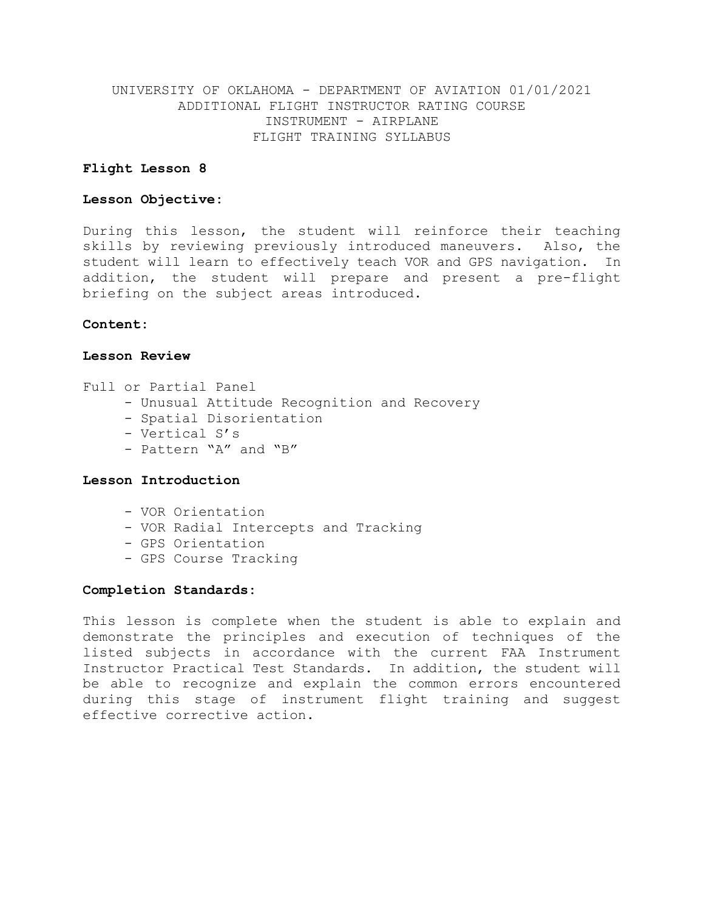### **Flight Lesson 8**

### **Lesson Objective:**

During this lesson, the student will reinforce their teaching skills by reviewing previously introduced maneuvers. Also, the student will learn to effectively teach VOR and GPS navigation. In addition, the student will prepare and present a pre-flight briefing on the subject areas introduced.

### **Content:**

#### **Lesson Review**

- Full or Partial Panel
	- Unusual Attitude Recognition and Recovery
	- Spatial Disorientation
	- Vertical S's
	- Pattern "A" and "B"

# **Lesson Introduction**

- VOR Orientation
- VOR Radial Intercepts and Tracking
- GPS Orientation
- GPS Course Tracking

#### **Completion Standards:**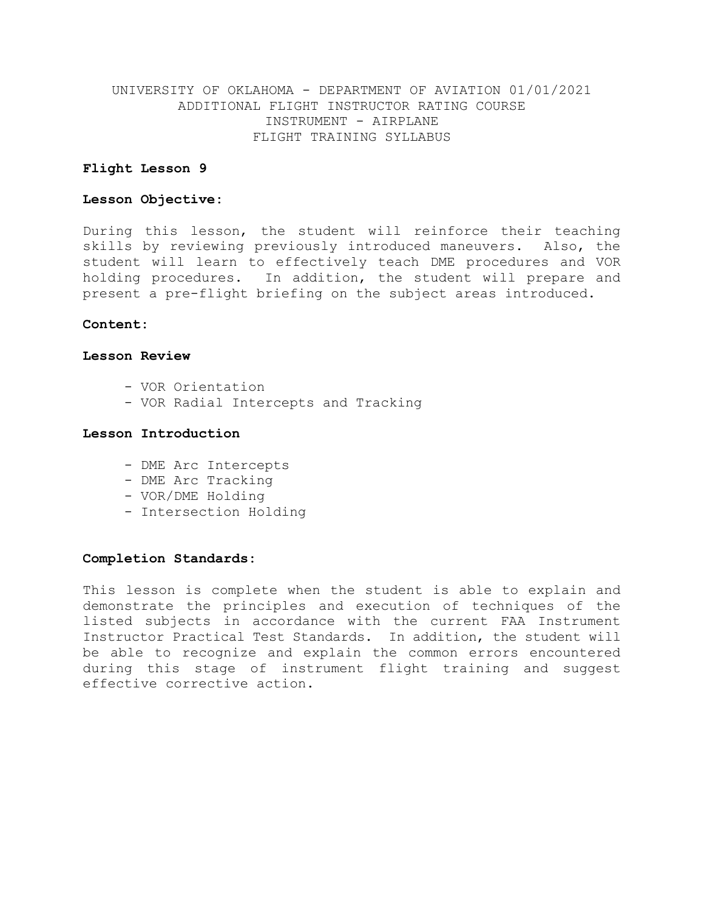### **Flight Lesson 9**

### **Lesson Objective:**

During this lesson, the student will reinforce their teaching skills by reviewing previously introduced maneuvers. Also, the student will learn to effectively teach DME procedures and VOR holding procedures. In addition, the student will prepare and present a pre-flight briefing on the subject areas introduced.

### **Content:**

#### **Lesson Review**

- VOR Orientation
- VOR Radial Intercepts and Tracking

### **Lesson Introduction**

- DME Arc Intercepts
- DME Arc Tracking
- VOR/DME Holding
- Intersection Holding

### **Completion Standards:**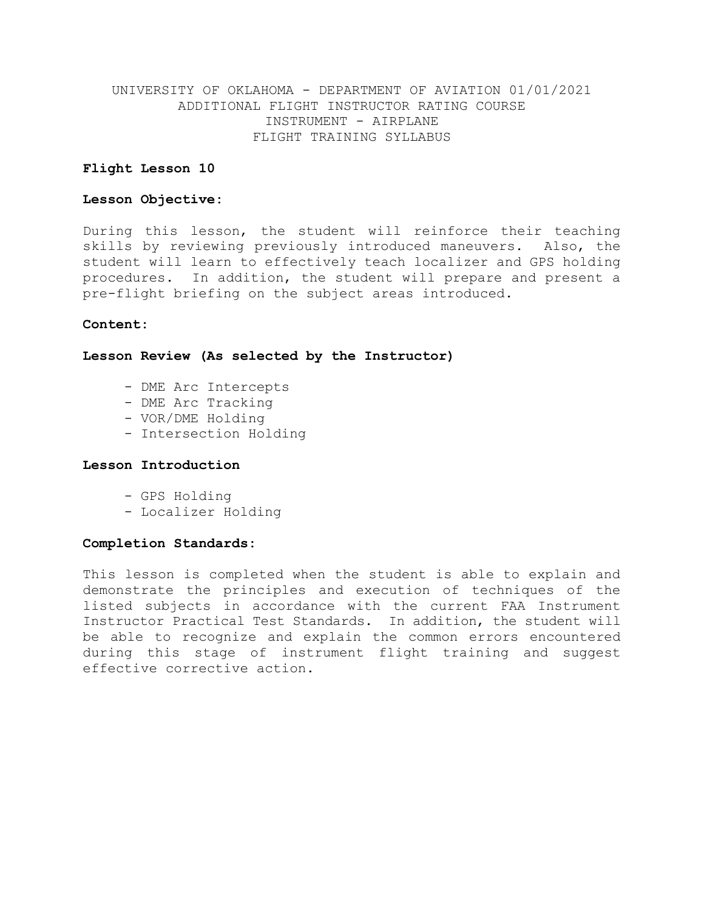### **Flight Lesson 10**

### **Lesson Objective:**

During this lesson, the student will reinforce their teaching skills by reviewing previously introduced maneuvers. Also, the student will learn to effectively teach localizer and GPS holding procedures. In addition, the student will prepare and present a pre-flight briefing on the subject areas introduced.

### **Content:**

#### **Lesson Review (As selected by the Instructor)**

- DME Arc Intercepts
- DME Arc Tracking
- VOR/DME Holding
- Intersection Holding

### **Lesson Introduction**

- GPS Holding
- Localizer Holding

### **Completion Standards:**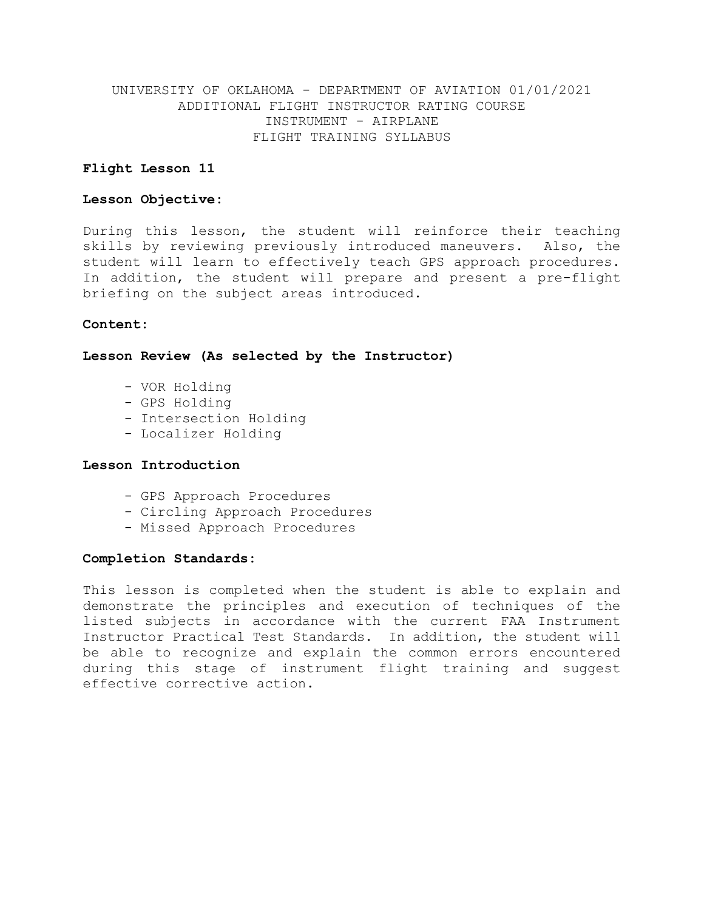### **Flight Lesson 11**

### **Lesson Objective:**

During this lesson, the student will reinforce their teaching skills by reviewing previously introduced maneuvers. Also, the student will learn to effectively teach GPS approach procedures. In addition, the student will prepare and present a pre-flight briefing on the subject areas introduced.

### **Content:**

**Lesson Review (As selected by the Instructor)**

- VOR Holding
- GPS Holding
- Intersection Holding
- Localizer Holding

### **Lesson Introduction**

- GPS Approach Procedures
- Circling Approach Procedures
- Missed Approach Procedures

#### **Completion Standards:**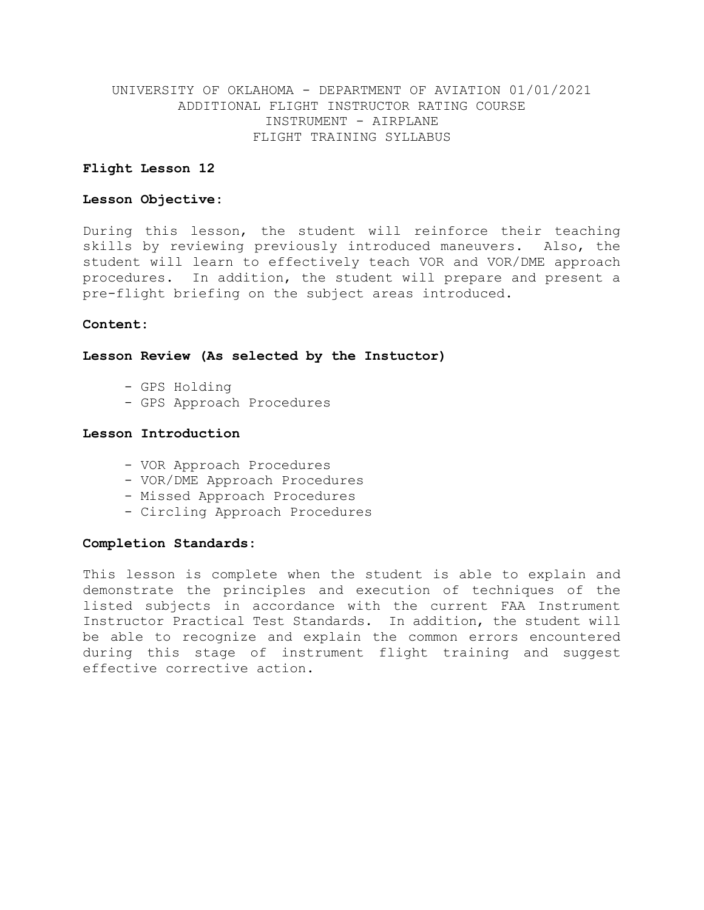### **Flight Lesson 12**

### **Lesson Objective:**

During this lesson, the student will reinforce their teaching skills by reviewing previously introduced maneuvers. Also, the student will learn to effectively teach VOR and VOR/DME approach procedures. In addition, the student will prepare and present a pre-flight briefing on the subject areas introduced.

### **Content:**

#### **Lesson Review (As selected by the Instuctor)**

- GPS Holding
- GPS Approach Procedures

### **Lesson Introduction**

- VOR Approach Procedures
- VOR/DME Approach Procedures
- Missed Approach Procedures
- Circling Approach Procedures

### **Completion Standards:**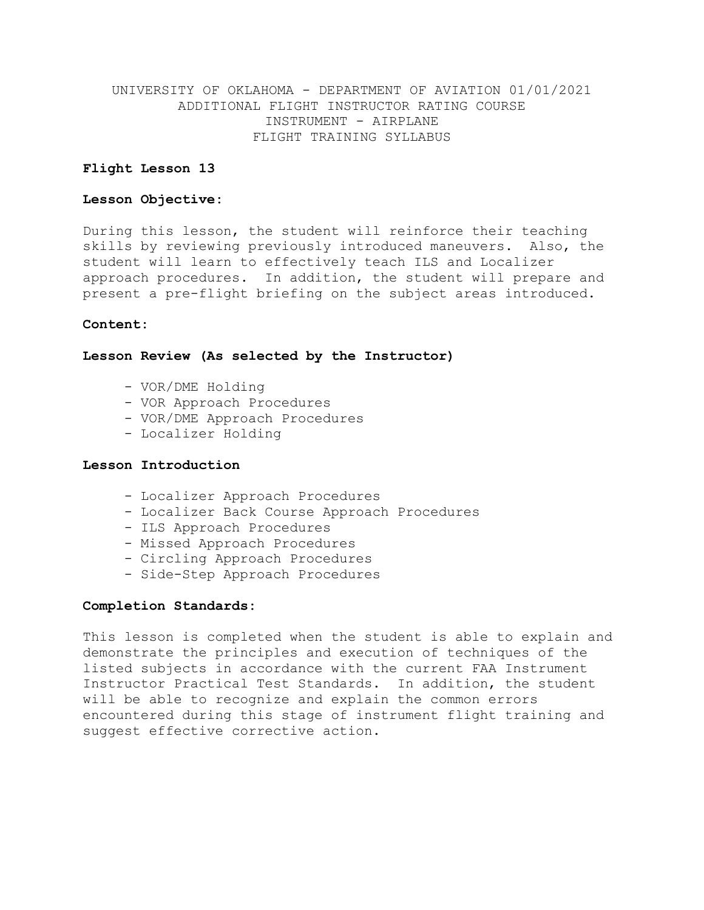### **Flight Lesson 13**

### **Lesson Objective:**

During this lesson, the student will reinforce their teaching skills by reviewing previously introduced maneuvers. Also, the student will learn to effectively teach ILS and Localizer approach procedures. In addition, the student will prepare and present a pre-flight briefing on the subject areas introduced.

### **Content:**

#### **Lesson Review (As selected by the Instructor)**

- VOR/DME Holding
- VOR Approach Procedures
- VOR/DME Approach Procedures
- Localizer Holding

### **Lesson Introduction**

- Localizer Approach Procedures
- Localizer Back Course Approach Procedures
- ILS Approach Procedures
- Missed Approach Procedures
- Circling Approach Procedures
- Side-Step Approach Procedures

### **Completion Standards:**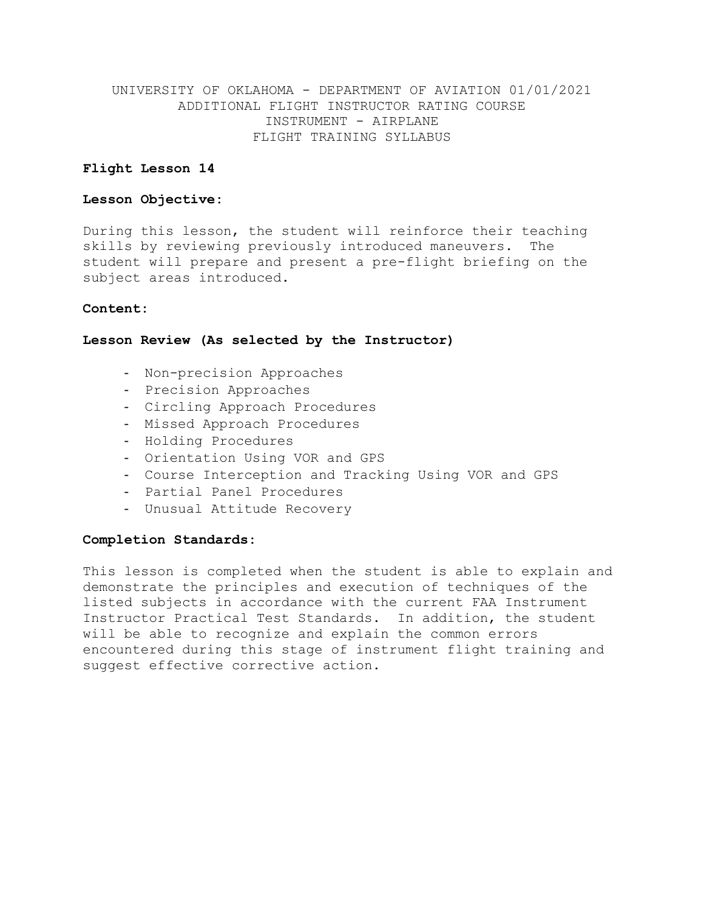# **Flight Lesson 14**

### **Lesson Objective:**

During this lesson, the student will reinforce their teaching skills by reviewing previously introduced maneuvers. The student will prepare and present a pre-flight briefing on the subject areas introduced.

### **Content:**

### **Lesson Review (As selected by the Instructor)**

- Non-precision Approaches
- Precision Approaches
- Circling Approach Procedures
- Missed Approach Procedures
- Holding Procedures
- Orientation Using VOR and GPS
- Course Interception and Tracking Using VOR and GPS
- Partial Panel Procedures
- Unusual Attitude Recovery

### **Completion Standards:**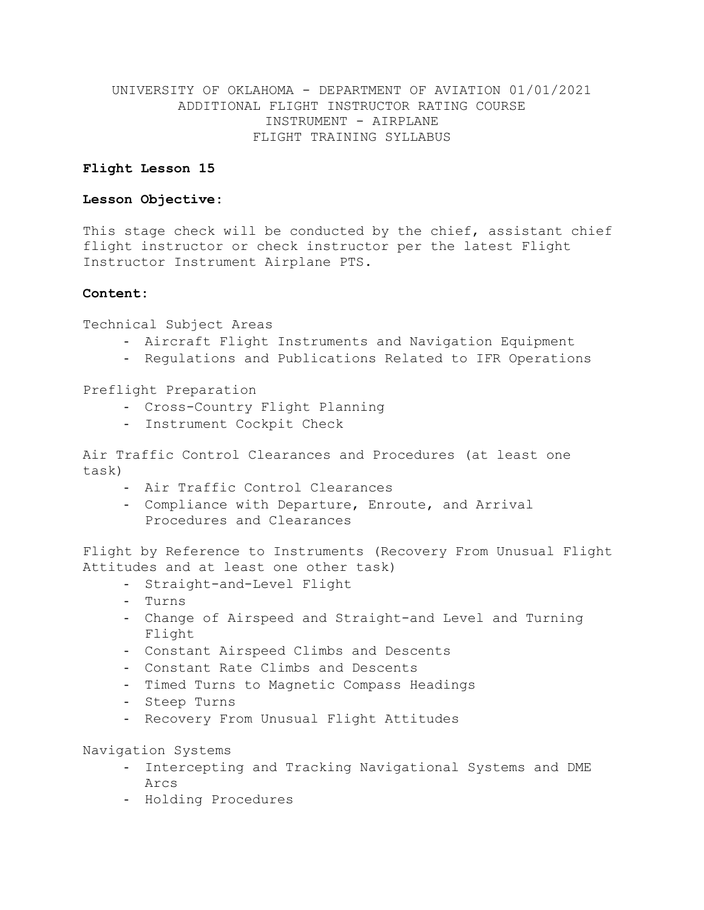# **Flight Lesson 15**

# **Lesson Objective:**

This stage check will be conducted by the chief, assistant chief flight instructor or check instructor per the latest Flight Instructor Instrument Airplane PTS.

# **Content:**

Technical Subject Areas

- Aircraft Flight Instruments and Navigation Equipment
- Regulations and Publications Related to IFR Operations

Preflight Preparation

- Cross-Country Flight Planning
- Instrument Cockpit Check

Air Traffic Control Clearances and Procedures (at least one task)

- Air Traffic Control Clearances
- Compliance with Departure, Enroute, and Arrival Procedures and Clearances

Flight by Reference to Instruments (Recovery From Unusual Flight Attitudes and at least one other task)

- Straight-and-Level Flight
- Turns
- Change of Airspeed and Straight-and Level and Turning Flight
- Constant Airspeed Climbs and Descents
- Constant Rate Climbs and Descents
- Timed Turns to Magnetic Compass Headings
- Steep Turns
- Recovery From Unusual Flight Attitudes

Navigation Systems

- Intercepting and Tracking Navigational Systems and DME Arcs
- Holding Procedures